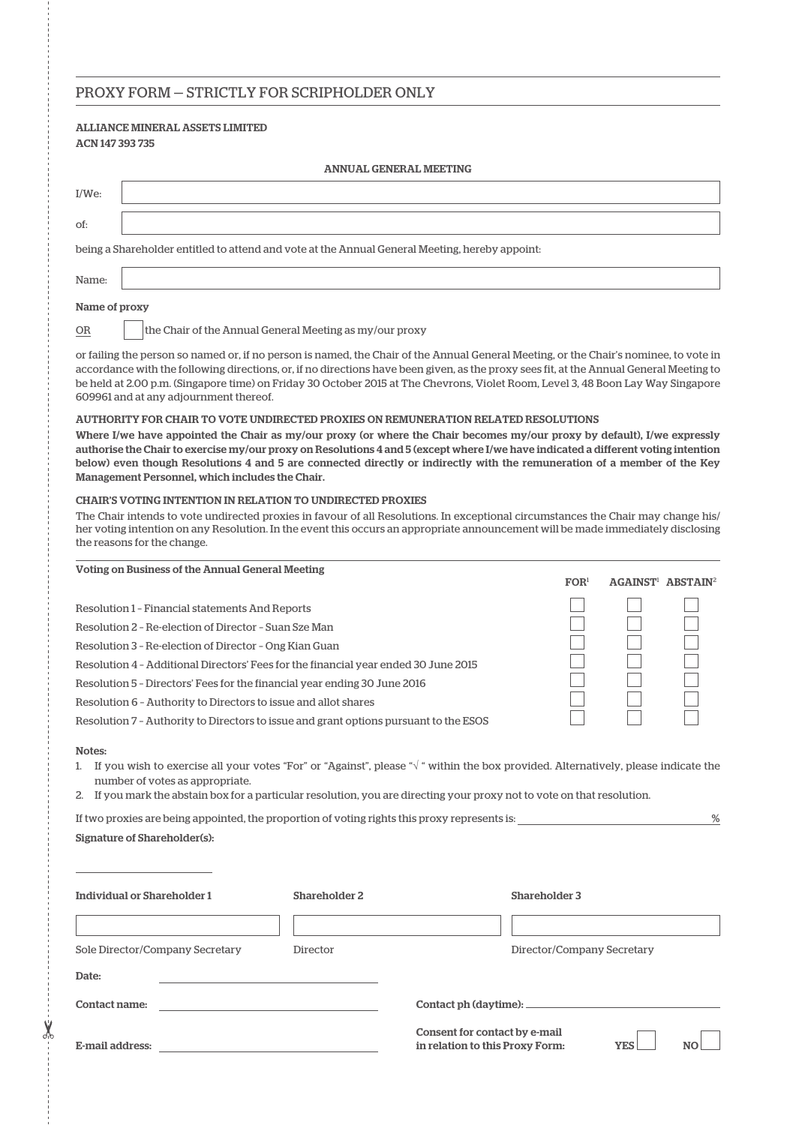## PROXY FORM — STRICTLY FOR SCRIPHOLDER ONLY

## ALLIANCE MINERAL ASSETS LIMITED ACN 147 393 735

| <b>ANNUAL GENERAL MEETING</b>                                                                                                                                                                                                                                                                                                                                                                                                                                  |                                                         |
|----------------------------------------------------------------------------------------------------------------------------------------------------------------------------------------------------------------------------------------------------------------------------------------------------------------------------------------------------------------------------------------------------------------------------------------------------------------|---------------------------------------------------------|
| $I/We$ :                                                                                                                                                                                                                                                                                                                                                                                                                                                       |                                                         |
| of:                                                                                                                                                                                                                                                                                                                                                                                                                                                            |                                                         |
| being a Shareholder entitled to attend and vote at the Annual General Meeting, hereby appoint:                                                                                                                                                                                                                                                                                                                                                                 |                                                         |
| Name:                                                                                                                                                                                                                                                                                                                                                                                                                                                          |                                                         |
| Name of proxy                                                                                                                                                                                                                                                                                                                                                                                                                                                  |                                                         |
| the Chair of the Annual General Meeting as my/our proxy<br>OR                                                                                                                                                                                                                                                                                                                                                                                                  |                                                         |
| or failing the person so named or, if no person is named, the Chair of the Annual General Meeting, or the Chair's nominee, to vote in<br>accordance with the following directions, or, if no directions have been given, as the proxy sees fit, at the Annual General Meeting to<br>be held at 2.00 p.m. (Singapore time) on Friday 30 October 2015 at The Chevrons, Violet Room, Level 3, 48 Boon Lay Way Singapore<br>609961 and at any adjournment thereof. |                                                         |
| AUTHORITY FOR CHAIR TO VOTE UNDIRECTED PROXIES ON REMUNERATION RELATED RESOLUTIONS                                                                                                                                                                                                                                                                                                                                                                             |                                                         |
| Where I/we have appointed the Chair as my/our proxy (or where the Chair becomes my/our proxy by default), I/we expressly<br>authorise the Chair to exercise my/our proxy on Resolutions 4 and 5 (except where I/we have indicated a different voting intention<br>below) even though Resolutions 4 and 5 are connected directly or indirectly with the remuneration of a member of the Key<br>Management Personnel, which includes the Chair.                  |                                                         |
| <b>CHAIR'S VOTING INTENTION IN RELATION TO UNDIRECTED PROXIES</b><br>The Chair intends to vote undirected proxies in favour of all Resolutions. In exceptional circumstances the Chair may change his/<br>her voting intention on any Resolution. In the event this occurs an appropriate announcement will be made immediately disclosing<br>the reasons for the change.                                                                                      |                                                         |
| Voting on Business of the Annual General Meeting                                                                                                                                                                                                                                                                                                                                                                                                               | FOR <sup>1</sup><br><b>AGAINST! ABSTAIN<sup>2</sup></b> |
|                                                                                                                                                                                                                                                                                                                                                                                                                                                                |                                                         |
| Resolution 1 - Financial statements And Reports                                                                                                                                                                                                                                                                                                                                                                                                                |                                                         |
| Resolution 2 - Re-election of Director - Suan Sze Man                                                                                                                                                                                                                                                                                                                                                                                                          |                                                         |
| Resolution 3 - Re-election of Director - Ong Kian Guan                                                                                                                                                                                                                                                                                                                                                                                                         |                                                         |
| Resolution 4 - Additional Directors' Fees for the financial year ended 30 June 2015                                                                                                                                                                                                                                                                                                                                                                            |                                                         |
| Resolution 5 - Directors' Fees for the financial year ending 30 June 2016                                                                                                                                                                                                                                                                                                                                                                                      |                                                         |
| Resolution 6 - Authority to Directors to issue and allot shares                                                                                                                                                                                                                                                                                                                                                                                                |                                                         |
| Resolution 7 - Authority to Directors to issue and grant options pursuant to the ESOS                                                                                                                                                                                                                                                                                                                                                                          |                                                         |
| Notes:<br>If you wish to exercise all your votes "For" or "Against", please " $\sqrt{ }$ " within the box provided. Alternatively, please indicate the<br>1.<br>number of votes as appropriate.<br>2. If you mark the abstain box for a particular resolution, you are directing your proxy not to vote on that resolution.                                                                                                                                    |                                                         |
| If two proxies are being appointed, the proportion of voting rights this proxy represents is:                                                                                                                                                                                                                                                                                                                                                                  | $\frac{9}{6}$                                           |
| Signature of Shareholder(s):                                                                                                                                                                                                                                                                                                                                                                                                                                   |                                                         |
|                                                                                                                                                                                                                                                                                                                                                                                                                                                                |                                                         |
| <b>Individual or Shareholder 1</b><br>Shareholder 2                                                                                                                                                                                                                                                                                                                                                                                                            | Shareholder 3                                           |
|                                                                                                                                                                                                                                                                                                                                                                                                                                                                |                                                         |
| Sole Director/Company Secretary<br>Director                                                                                                                                                                                                                                                                                                                                                                                                                    | Director/Company Secretary                              |
| Date:                                                                                                                                                                                                                                                                                                                                                                                                                                                          |                                                         |
| Contact name:                                                                                                                                                                                                                                                                                                                                                                                                                                                  | Contact ph (daytime): __                                |
|                                                                                                                                                                                                                                                                                                                                                                                                                                                                |                                                         |

E-mail address:

 $-36$ 

Consent for contact by e-mail Consent for contact by e-mail<br>in relation to this Proxy Form: YES NO